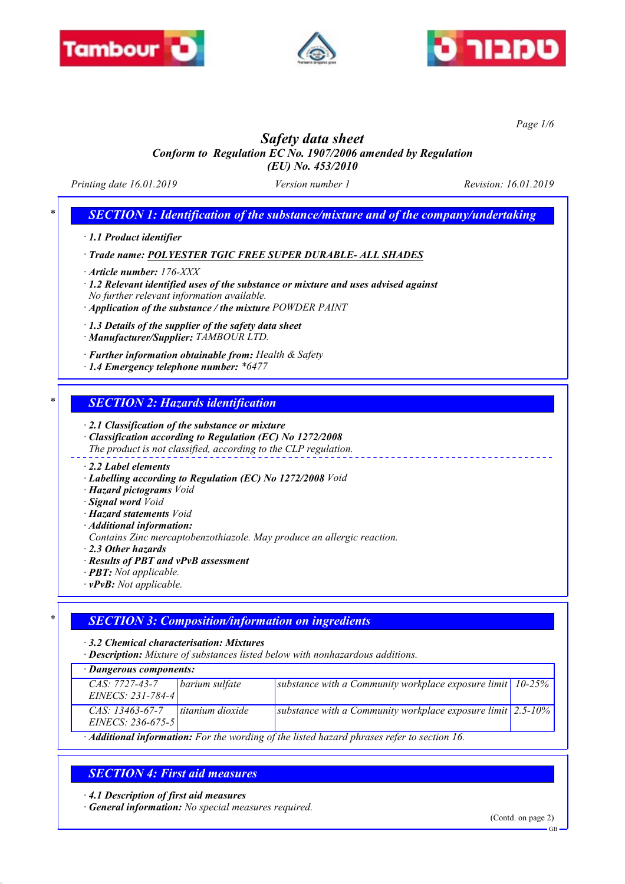





*Page 1/6*

# *Safety data sheet*

*Conform to Regulation EC No. 1907/2006 amended by Regulation (EU) No. 453/2010*

*Printing date 16.01.2019 Version number 1 Revision: 16.01.2019*

## *\* SECTION 1: Identification of the substance/mixture and of the company/undertaking*

*· 1.1 Product identifier*

## *· Trade name: POLYESTER TGIC FREE SUPER DURABLE- ALL SHADES*

*· Article number: 176-XXX*

*· 1.2 Relevant identified uses of the substance or mixture and uses advised against No further relevant information available.*

*· Application of the substance / the mixture POWDER PAINT*

*· 1.3 Details of the supplier of the safety data sheet*

*· Manufacturer/Supplier: TAMBOUR LTD.*

- *· Further information obtainable from: Health & Safety*
- *· 1.4 Emergency telephone number: \*6477*

## *\* SECTION 2: Hazards identification*

*· 2.1 Classification of the substance or mixture*

- *· Classification according to Regulation (EC) No 1272/2008*
- *The product is not classified, according to the CLP regulation.*

#### *· 2.2 Label elements*

- *· Labelling according to Regulation (EC) No 1272/2008 Void*
- *· Hazard pictograms Void*
- *· Signal word Void*
- *· Hazard statements Void*
- *· Additional information:*
- *Contains Zinc mercaptobenzothiazole. May produce an allergic reaction.*
- *· 2.3 Other hazards*
- *· Results of PBT and vPvB assessment*
- *· PBT: Not applicable.*
- *· vPvB: Not applicable.*

## *\* SECTION 3: Composition/information on ingredients*

*· 3.2 Chemical characterisation: Mixtures*

*· Description: Mixture of substances listed below with nonhazardous additions.*

*· Dangerous components:*

| <b>Dungerous components.</b>                                                                             |                  |                                                                                     |  |  |
|----------------------------------------------------------------------------------------------------------|------------------|-------------------------------------------------------------------------------------|--|--|
| $CAS: 7727-43-7$                                                                                         | barium sulfate   | substance with a Community workplace exposure limit $10-25%$                        |  |  |
| $EINECS: 231-784-4$                                                                                      |                  |                                                                                     |  |  |
| $CAS: 13463-67-7$                                                                                        | titanium dioxide | substance with a Community workplace exposure limit $\frac{2.5 - 10\%}{2.5 - 10\%}$ |  |  |
| $EINECS: 236-675-5$                                                                                      |                  |                                                                                     |  |  |
| $\cdot$ <b>Additional information:</b> For the wording of the listed hazard phrases refer to section 16. |                  |                                                                                     |  |  |

## *SECTION 4: First aid measures*

*· 4.1 Description of first aid measures*

*· General information: No special measures required.*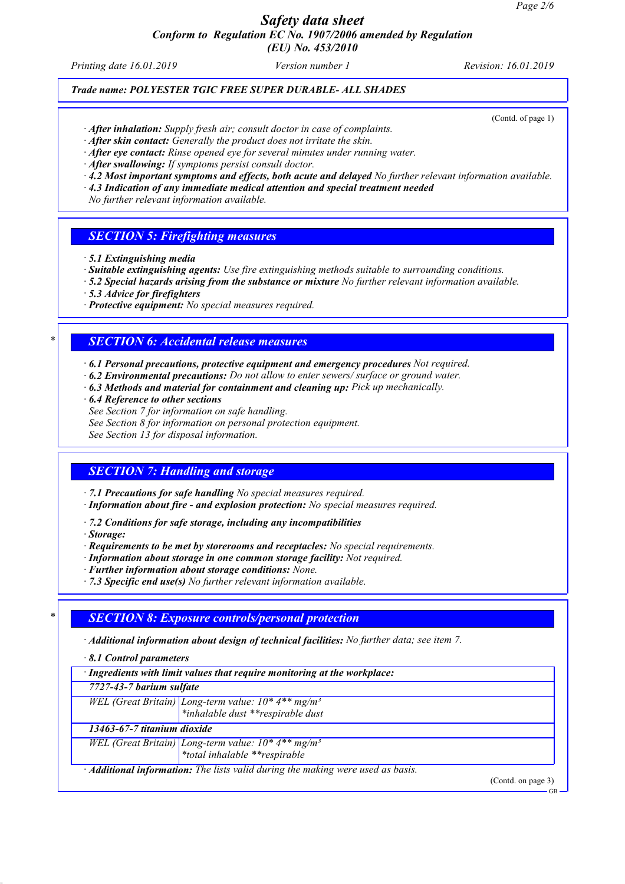*(EU) No. 453/2010*

*Printing date 16.01.2019 Version number 1 Revision: 16.01.2019*

## *Trade name: POLYESTER TGIC FREE SUPER DURABLE- ALL SHADES*

(Contd. of page 1)

- *· After inhalation: Supply fresh air; consult doctor in case of complaints.*
- *· After skin contact: Generally the product does not irritate the skin.*
- *· After eye contact: Rinse opened eye for several minutes under running water.*
- *· After swallowing: If symptoms persist consult doctor.*
- *· 4.2 Most important symptoms and effects, both acute and delayed No further relevant information available.*
- *· 4.3 Indication of any immediate medical attention and special treatment needed*

*No further relevant information available.*

#### *SECTION 5: Firefighting measures*

- *· 5.1 Extinguishing media*
- *· Suitable extinguishing agents: Use fire extinguishing methods suitable to surrounding conditions.*
- *· 5.2 Special hazards arising from the substance or mixture No further relevant information available.*
- *· 5.3 Advice for firefighters*
- *· Protective equipment: No special measures required.*

#### *\* SECTION 6: Accidental release measures*

- *· 6.1 Personal precautions, protective equipment and emergency procedures Not required.*
- *· 6.2 Environmental precautions: Do not allow to enter sewers/ surface or ground water.*
- *· 6.3 Methods and material for containment and cleaning up: Pick up mechanically.*
- *· 6.4 Reference to other sections*
- *See Section 7 for information on safe handling.*
- *See Section 8 for information on personal protection equipment.*

*See Section 13 for disposal information.*

#### *SECTION 7: Handling and storage*

*· 7.1 Precautions for safe handling No special measures required.*

- *· Information about fire and explosion protection: No special measures required.*
- *· 7.2 Conditions for safe storage, including any incompatibilities*
- *· Storage:*
- *· Requirements to be met by storerooms and receptacles: No special requirements.*
- *· Information about storage in one common storage facility: Not required.*
- *· Further information about storage conditions: None.*
- *· 7.3 Specific end use(s) No further relevant information available.*

## *\* SECTION 8: Exposure controls/personal protection*

- *· Additional information about design of technical facilities: No further data; see item 7.*
- *· 8.1 Control parameters*

| · Ingredients with limit values that require monitoring at the workplace:              |                                                                                                                |                    |  |
|----------------------------------------------------------------------------------------|----------------------------------------------------------------------------------------------------------------|--------------------|--|
| 7727-43-7 barium sulfate                                                               |                                                                                                                |                    |  |
|                                                                                        | WEL (Great Britain) Long-term value: $10^*$ 4** mg/m <sup>3</sup><br>*inhalable dust **respirable dust         |                    |  |
|                                                                                        |                                                                                                                |                    |  |
| 13463-67-7 titanium dioxide                                                            |                                                                                                                |                    |  |
|                                                                                        | WEL (Great Britain) Long-term value: $10^*$ 4 <sup>**</sup> mg/m <sup>3</sup><br>*total inhalable **respirable |                    |  |
|                                                                                        |                                                                                                                |                    |  |
| · <b>Additional information:</b> The lists valid during the making were used as basis. |                                                                                                                |                    |  |
|                                                                                        |                                                                                                                | (Contd. on page 3) |  |
|                                                                                        |                                                                                                                | GB                 |  |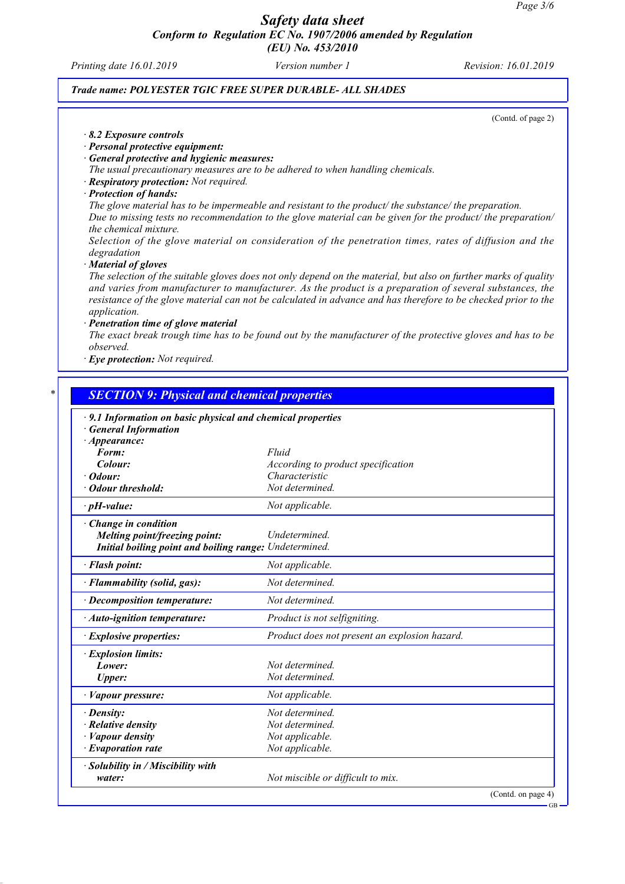*Printing date 16.01.2019 Version number 1 Revision: 16.01.2019*

#### *Trade name: POLYESTER TGIC FREE SUPER DURABLE- ALL SHADES*

(Contd. of page 2)

GB

- *· 8.2 Exposure controls*
- *· Personal protective equipment:*
- *· General protective and hygienic measures:*

*The usual precautionary measures are to be adhered to when handling chemicals.*

- *· Respiratory protection: Not required.*
- *· Protection of hands:*

*The glove material has to be impermeable and resistant to the product/ the substance/ the preparation. Due to missing tests no recommendation to the glove material can be given for the product/ the preparation/ the chemical mixture.*

*Selection of the glove material on consideration of the penetration times, rates of diffusion and the degradation*

*· Material of gloves*

*The selection of the suitable gloves does not only depend on the material, but also on further marks of quality and varies from manufacturer to manufacturer. As the product is a preparation of several substances, the resistance of the glove material can not be calculated in advance and has therefore to be checked prior to the application.*

*· Penetration time of glove material*

*The exact break trough time has to be found out by the manufacturer of the protective gloves and has to be observed.*

*· Eye protection: Not required.*

| · 9.1 Information on basic physical and chemical properties |                                               |
|-------------------------------------------------------------|-----------------------------------------------|
| <b>General Information</b>                                  |                                               |
| $\cdot$ Appearance:                                         |                                               |
| Form:                                                       | Fluid                                         |
| Colour:                                                     | According to product specification            |
| · Odour:                                                    | Characteristic                                |
| · Odour threshold:                                          | Not determined.                               |
| $\cdot$ pH-value:                                           | Not applicable.                               |
| · Change in condition                                       |                                               |
| Melting point/freezing point:                               | Undetermined.                                 |
| Initial boiling point and boiling range: Undetermined.      |                                               |
| · Flash point:                                              | Not applicable.                               |
| · Flammability (solid, gas):                                | Not determined.                               |
| · Decomposition temperature:                                | Not determined.                               |
| · Auto-ignition temperature:                                | Product is not selfigniting.                  |
| · Explosive properties:                                     | Product does not present an explosion hazard. |
| · Explosion limits:                                         |                                               |
| Lower:                                                      | Not determined.                               |
| <b>Upper:</b>                                               | Not determined.                               |
| · Vapour pressure:                                          | Not applicable.                               |
| $\cdot$ Density:                                            | Not determined.                               |
| $\cdot$ Relative density                                    | Not determined.                               |
| · Vapour density                                            | Not applicable.                               |
| $\cdot$ Evaporation rate                                    | Not applicable.                               |
| · Solubility in / Miscibility with                          |                                               |
| water:                                                      | Not miscible or difficult to mix.             |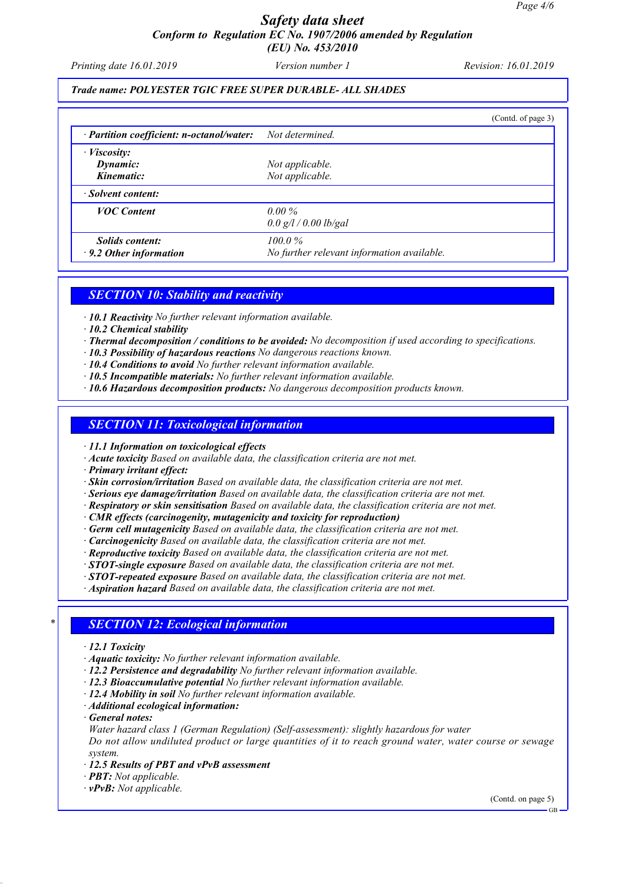*Printing date 16.01.2019 Version number 1 Revision: 16.01.2019*

#### *Trade name: POLYESTER TGIC FREE SUPER DURABLE- ALL SHADES*

|                                                           |                                            | (Contd. of page 3) |
|-----------------------------------------------------------|--------------------------------------------|--------------------|
| · Partition coefficient: n-octanol/water: Not determined. |                                            |                    |
| $\cdot$ <i>Viscosity:</i>                                 |                                            |                    |
| Dynamic:                                                  | Not applicable.                            |                    |
| Kinematic:                                                | Not applicable.                            |                    |
| · Solvent content:                                        |                                            |                    |
| <b>VOC</b> Content                                        | $0.00\%$                                   |                    |
|                                                           | 0.0 g/l / 0.00 lb/gal                      |                    |
| <b>Solids content:</b>                                    | $100.0\%$                                  |                    |
| $\cdot$ 9.2 Other information                             | No further relevant information available. |                    |

#### *SECTION 10: Stability and reactivity*

*· 10.1 Reactivity No further relevant information available.*

- *· 10.2 Chemical stability*
- *· Thermal decomposition / conditions to be avoided: No decomposition if used according to specifications.*
- *· 10.3 Possibility of hazardous reactions No dangerous reactions known.*
- *· 10.4 Conditions to avoid No further relevant information available.*
- *· 10.5 Incompatible materials: No further relevant information available.*
- *· 10.6 Hazardous decomposition products: No dangerous decomposition products known.*

#### *SECTION 11: Toxicological information*

*· 11.1 Information on toxicological effects*

*· Acute toxicity Based on available data, the classification criteria are not met.*

*· Primary irritant effect:*

*· Skin corrosion/irritation Based on available data, the classification criteria are not met.*

*· Serious eye damage/irritation Based on available data, the classification criteria are not met.*

*· Respiratory or skin sensitisation Based on available data, the classification criteria are not met.*

*· CMR effects (carcinogenity, mutagenicity and toxicity for reproduction)*

- *· Germ cell mutagenicity Based on available data, the classification criteria are not met.*
- *· Carcinogenicity Based on available data, the classification criteria are not met.*
- *· Reproductive toxicity Based on available data, the classification criteria are not met.*
- *· STOT-single exposure Based on available data, the classification criteria are not met.*
- *· STOT-repeated exposure Based on available data, the classification criteria are not met.*

*· Aspiration hazard Based on available data, the classification criteria are not met.*

#### *\* SECTION 12: Ecological information*

- *· 12.1 Toxicity*
- *· Aquatic toxicity: No further relevant information available.*
- *· 12.2 Persistence and degradability No further relevant information available.*
- *· 12.3 Bioaccumulative potential No further relevant information available.*
- *· 12.4 Mobility in soil No further relevant information available.*
- *· Additional ecological information:*
- *· General notes:*
- *Water hazard class 1 (German Regulation) (Self-assessment): slightly hazardous for water*

*Do not allow undiluted product or large quantities of it to reach ground water, water course or sewage system.*

- *· 12.5 Results of PBT and vPvB assessment*
- *· PBT: Not applicable.*
- *· vPvB: Not applicable.*

(Contd. on page 5)

GB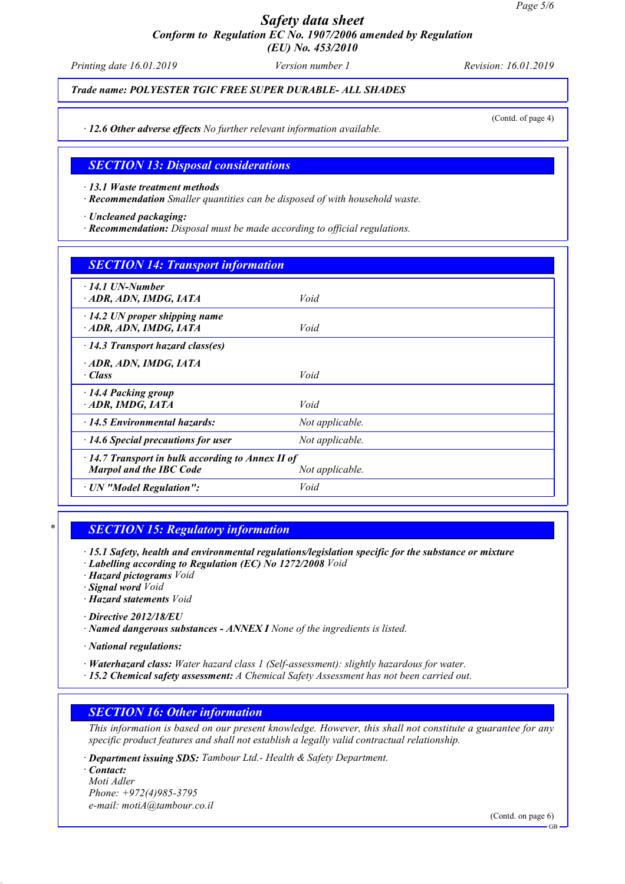*Printing date 16.01.2019 Version number 1 Revision: 16.01.2019*

#### *Trade name: POLYESTER TGIC FREE SUPER DURABLE- ALL SHADES*

(Contd. of page 4)

*· 12.6 Other adverse effects No further relevant information available.*

#### *SECTION 13: Disposal considerations*

*· 13.1 Waste treatment methods*

*· Recommendation Smaller quantities can be disposed of with household waste.*

*· Uncleaned packaging:*

*· Recommendation: Disposal must be made according to official regulations.*

| <b>SECTION 14: Transport information</b>                                                                     |                 |  |
|--------------------------------------------------------------------------------------------------------------|-----------------|--|
| $\cdot$ 14.1 UN-Number<br>ADR, ADN, IMDG, IATA                                                               | Void            |  |
| $\cdot$ 14.2 UN proper shipping name<br>· ADR, ADN, IMDG, IATA                                               | Void            |  |
| $\cdot$ 14.3 Transport hazard class(es)                                                                      |                 |  |
| · ADR, ADN, IMDG, IATA<br>· Class                                                                            | Void            |  |
| $\cdot$ 14.4 Packing group<br>ADR, IMDG, IATA                                                                | Void            |  |
| $\cdot$ 14.5 Environmental hazards:                                                                          | Not applicable. |  |
| $\cdot$ 14.6 Special precautions for user                                                                    | Not applicable. |  |
| $\cdot$ 14.7 Transport in bulk according to Annex II of<br><b>Marpol and the IBC Code</b><br>Not applicable. |                 |  |
| · UN "Model Regulation":                                                                                     | Void            |  |

## *\* SECTION 15: Regulatory information*

*· 15.1 Safety, health and environmental regulations/legislation specific for the substance or mixture*

- *· Labelling according to Regulation (EC) No 1272/2008 Void*
- *· Hazard pictograms Void*
- *· Signal word Void*
- *· Hazard statements Void*
- *· Directive 2012/18/EU*
- *· Named dangerous substances ANNEX I None of the ingredients is listed.*

*· National regulations:*

- *· Waterhazard class: Water hazard class 1 (Self-assessment): slightly hazardous for water.*
- *· 15.2 Chemical safety assessment: A Chemical Safety Assessment has not been carried out.*

#### *SECTION 16: Other information*

*This information is based on our present knowledge. However, this shall not constitute a guarantee for any specific product features and shall not establish a legally valid contractual relationship.*

*· Department issuing SDS: Tambour Ltd.- Health & Safety Department.*

*· Contact: Moti Adler Phone: +972(4)985-3795 e-mail: motiA@tambour.co.il*

(Contd. on page 6)

GB